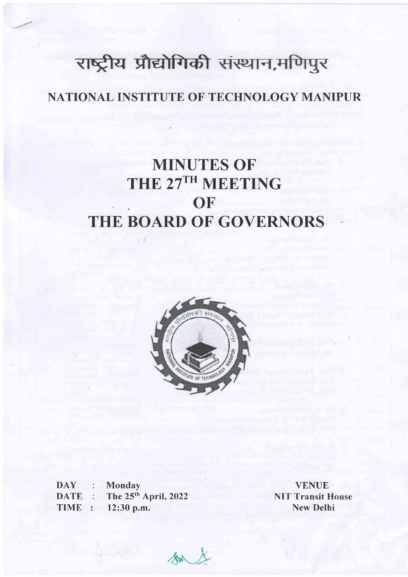# राष्ट्रीय प्रौद्योगिकी संस्थान,मणिपुर NATIONAL INSTITUTE OF TECHNOLOGY MANIPUR

# THE BOARD OF GOVERNORS MINUTES OF THE 27TH MEETING **OF**



DAY : Monday  $\text{DATE}$  : The 25<sup>th</sup> April, 2022 TIME : 12:30 p.m.

VENUE **NIT Transit House** New Delhi

Au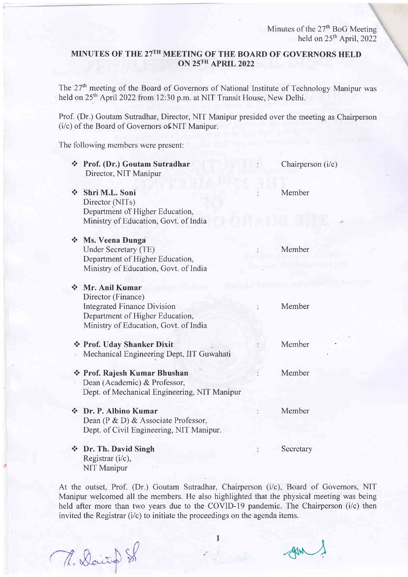# MINUTES OF THE 27TH MEETING OF THE BOARD OF GOVERNORS HELD ON 25TH APRIL 2022

The 27<sup>th</sup> meeting of the Board of Governors of National Institute of Technology Manipur was held on 25<sup>th</sup> April 2022 from 12:30 p.m. at NIT Transit House, New Delhi.

Prof. (Dr.) Goutam Sutradhar, Director, NIT Manipur presided over the meeting as Chairperson  $(i/c)$  of the Board of Governors of NIT Manipur.

The following members were present:

| $\frac{1}{2}$ | Prof. (Dr.) Goutam Sutradhar<br>Director, NIT Manipur                                                                                                  | Chairperson $(i/c)$ |
|---------------|--------------------------------------------------------------------------------------------------------------------------------------------------------|---------------------|
| $\frac{1}{2}$ | Shri M.L. Soni<br>Director (NITs)<br>Department of Higher Education,<br>Ministry of Education, Govt. of India                                          | Member              |
|               | <b>Ms. Veena Dunga</b><br>Under Secretary (TE)<br>Department of Higher Education,<br>Ministry of Education, Govt. of India                             | Member              |
|               | Mr. Anil Kumar<br>Director (Finance)<br><b>Integrated Finance Division</b><br>Department of Higher Education,<br>Ministry of Education, Govt. of India | Member              |
|               | ❖ Prof. Uday Shanker Dixit<br>Mechanical Engineering Dept, IIT Guwahati                                                                                | Member              |
|               | ❖ Prof. Rajesh Kumar Bhushan<br>Dean (Academic) & Professor,<br>Dept. of Mechanical Engineering, NIT Manipur                                           | Member              |
|               | Dr. P. Albino Kumar<br>Dean (P & D) & Associate Professor,<br>Dept. of Civil Engineering, NIT Manipur.                                                 | Member              |
|               | ❖ Dr. Th. David Singh<br>Registrar (i/c),<br>NIT Manipur                                                                                               | Secretary           |

At the outset, Prof. (Dr.) Goutam Sutradhar, Chairperson (i/c), Board of Governors, NIT Manipur welcomed all the members. He also highlighted that the physical meeting was being held after more than two years due to the COVID-19 pandemic. The Chairperson (i/c) then invited the Registrar  $(i/c)$  to initiate the proceedings on the agenda items.

1

M. Dairy

 $\n *dim*\n *dim*$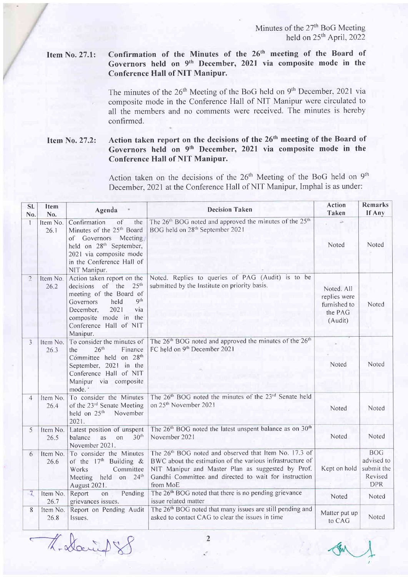#### Item No.27.l: Confirmation of the Minutes of the 26<sup>th</sup> meeting of the Board of Governors held on 9<sup>th</sup> December, 2021 via composite mode in the Conference Hall of NIT Manipur.

The minutes of the 26<sup>th</sup> Meeting of the BoG held on 9<sup>th</sup> December, 2021 via composite mode in the Conference Hall of NIT Manipur were circulated to all the members and no comments were received. 'Ihe minutes is hereby confirmed.

#### Item No.27.2: Action taken report on the decisions of the 26<sup>th</sup> meeting of the Board of Governors held on 9th December, 2021 via composite mode in the Conference Hall of NIT Manipur.

Action taken on the decisions of the  $26<sup>th</sup>$  Meeting of the BoG held on  $9<sup>th</sup>$ December, 2021 at the Conference Hall of NIT Manipur, Imphal is as under:

| SI.<br>No.     | <b>Item</b><br>No. | Agenda                                                                                                                                                                                                              | <b>Decision Taken</b>                                                                                                                                                                                                                                    | <b>Action</b><br>Taken                                           | <b>Remarks</b><br>If Any                                        |
|----------------|--------------------|---------------------------------------------------------------------------------------------------------------------------------------------------------------------------------------------------------------------|----------------------------------------------------------------------------------------------------------------------------------------------------------------------------------------------------------------------------------------------------------|------------------------------------------------------------------|-----------------------------------------------------------------|
| T              | Item No.<br>26.1   | Confirmation<br>of<br>the<br>Minutes of the 25 <sup>th</sup> Board<br>of Governors Meeting<br>held on 28 <sup>th</sup> September,<br>2021 via composite mode<br>in the Conference Hall of<br>NIT Manipur.           | The 26 <sup>th</sup> BOG noted and approved the minutes of the 25 <sup>th</sup><br>BOG held on 28 <sup>th</sup> September 2021                                                                                                                           | Noted                                                            | Noted                                                           |
| $\overline{2}$ | Item No.<br>26.2   | Action taken report on the<br>decisions of the 25 <sup>th</sup><br>meeting of the Board of<br>. gth<br>held<br>Governors<br>2021<br>via<br>December,<br>composite mode in the<br>Conference Hall of NIT<br>Manipur. | Noted. Replies to queries of PAG (Audit) is to be<br>submitted by the Institute on priority basis.                                                                                                                                                       | Noted. All<br>replies were<br>furnished to<br>the PAG<br>(Audit) | Noted                                                           |
| $\overline{3}$ | Item No.<br>26.3   | To consider the minutes of<br>26 <sup>th</sup><br>Finance<br>the<br>Committee held on 28 <sup>th</sup><br>September, 2021 in the<br>Conference Hall of NIT<br>Manipur via composite<br>mode. '                      | The 26 <sup>th</sup> BOG noted and approved the minutes of the 26 <sup>th</sup><br>FC held on 9th December 2021                                                                                                                                          | Noted                                                            | Noted                                                           |
| $\overline{4}$ | Item No.<br>26.4   | To consider the Minutes<br>of the 23rd Senate Meeting<br>held on $25th$<br>November<br>2021.                                                                                                                        | The 26 <sup>th</sup> BOG noted the minutes of the 23 <sup>rd</sup> Senate held<br>on 25 <sup>th</sup> November 2021                                                                                                                                      | Noted                                                            | Noted                                                           |
| 5              | Item No.<br>26.5   | Latest position of unspent<br>30 <sup>th</sup><br>balance<br>as<br>on<br>November 2021.                                                                                                                             | The 26 <sup>th</sup> BOG noted the latest unspent balance as on 30 <sup>th</sup><br>November 2021                                                                                                                                                        | Noted                                                            | Noted                                                           |
| 6              | Item No.<br>26.6   | To consider the Minutes<br>of the $17th$ Building &<br>Works<br>Committee<br>Meeting held on 24 <sup>th</sup><br>August 2021.                                                                                       | The 26 <sup>th</sup> BOG noted and observed that Item No. 17.3 of<br>BWC about the estimation of the various infrastructure of<br>NIT Manipur and Master Plan as suggested by Prof.<br>Gandhi Committee and directed to wait for instruction<br>from MoE | Kept on hold                                                     | <b>BOG</b><br>advised to<br>submit the<br>Revised<br><b>DPR</b> |
| $\mathcal{I}$  | Item No.<br>26.7   | Pending<br>Report<br>on<br>grievances issues.                                                                                                                                                                       | The 26 <sup>th</sup> BOG noted that there is no pending grievance<br>issue related matter                                                                                                                                                                | Noted                                                            | Noted                                                           |
| 8              | Item No.<br>26.8   | Report on Pending Audit<br>Issues.                                                                                                                                                                                  | The 26 <sup>th</sup> BOG noted that many issues are still pending and<br>asked to contact CAG to clear the issues in time                                                                                                                                | Matter put up<br>to CAG                                          | Noted                                                           |

Harie) 8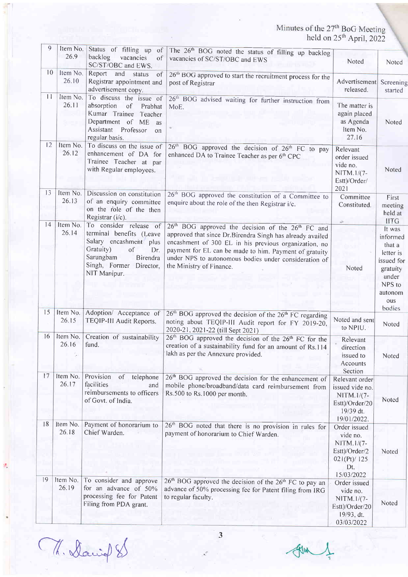| 9               | Item No.                                                                                                                                                                                                                                                                                                                                                                               | Status of filling up of                                                                                                                                                           |                                                                                                                                                                                                                                                                                                                                                |                                                                                               |                                                                                                                    |
|-----------------|----------------------------------------------------------------------------------------------------------------------------------------------------------------------------------------------------------------------------------------------------------------------------------------------------------------------------------------------------------------------------------------|-----------------------------------------------------------------------------------------------------------------------------------------------------------------------------------|------------------------------------------------------------------------------------------------------------------------------------------------------------------------------------------------------------------------------------------------------------------------------------------------------------------------------------------------|-----------------------------------------------------------------------------------------------|--------------------------------------------------------------------------------------------------------------------|
|                 | The 26 <sup>th</sup> BOG noted the status of filling up backlog<br>26.9<br>backlog<br>vacancies<br>of<br>vacancies of SC/ST/OBC and EWS<br>SC/ST/OBC and EWS.<br>10 <sup>°</sup><br>Item No.<br>Report<br>and status<br>0f<br>26 <sup>th</sup> BOG approved to start the recruitment process for the<br>26.10<br>Registrar appointment and<br>post of Registrar<br>advertisement copy. |                                                                                                                                                                                   | Noted                                                                                                                                                                                                                                                                                                                                          | Noted                                                                                         |                                                                                                                    |
|                 |                                                                                                                                                                                                                                                                                                                                                                                        |                                                                                                                                                                                   | Advertisement<br>released.                                                                                                                                                                                                                                                                                                                     | Screening<br>started                                                                          |                                                                                                                    |
| $\overline{11}$ | Item No.<br>To discuss the issue of<br>26 <sup>th</sup> BOG advised waiting for further instruction from<br>26.11<br>absorption<br>of<br>Prabhat<br>MoE.<br>Kumar Trainee<br>Teacher<br>Department of ME<br>as<br>Assistant Professor<br>on<br>regular basis.                                                                                                                          |                                                                                                                                                                                   | The matter is<br>again placed<br>as Agenda<br>Item No.<br>27.16                                                                                                                                                                                                                                                                                | Noted                                                                                         |                                                                                                                    |
| 12              | Item No.<br>To discuss on the issue of<br>26 <sup>th</sup> BOG approved the decision of 26 <sup>th</sup> FC to pay<br>26.12<br>enhancement of DA for<br>enhanced DA to Trainee Teacher as per 6 <sup>th</sup> CPC<br>Trainee Teacher at par<br>with Regular employees.                                                                                                                 |                                                                                                                                                                                   | Relevant<br>order issued<br>vide no.<br>NITM.1/(7-<br>Estt)/Order/<br>2021                                                                                                                                                                                                                                                                     | Noted                                                                                         |                                                                                                                    |
| 13              | Item No.<br>26.13                                                                                                                                                                                                                                                                                                                                                                      | Discussion on constitution<br>of an enquiry committee<br>on the role of the then<br>Registrar (i/c).                                                                              | 26 <sup>th</sup> BOG approved the constitution of a Committee to<br>enquire about the role of the then Registrar i/c.                                                                                                                                                                                                                          | Committee<br>Constituted.                                                                     | First<br>meeting<br>held at<br><b>HTG</b>                                                                          |
| 14              | Item No.<br>26.14                                                                                                                                                                                                                                                                                                                                                                      | To consider release of<br>terminal benefits (Leave<br>Salary encashment plus<br>Gratuity)<br>of<br>Dr.<br>Sarungbam<br><b>Birendra</b><br>Singh, Former Director,<br>NIT Manipur. | 26 <sup>th</sup> BOG approved the decision of the 26 <sup>th</sup> FC and<br>approved that since Dr.Birendra Singh has already availed<br>encashment of 300 EL in his previous organization, no<br>payment for EL can be made to him. Payment of gratuity<br>under NPS to autonomous bodies under consideration of<br>the Ministry of Finance. | 2<br>Noted                                                                                    | It was<br>informed<br>that a<br>letter is<br>issued for<br>gratuity<br>under<br>NPS to<br>autonom<br>ous<br>bodies |
| 15              | Item No.<br>26.15                                                                                                                                                                                                                                                                                                                                                                      | Adoption/ Acceptance of<br>TEQIP-III Audit Reports.                                                                                                                               | 26 <sup>th</sup> BOG approved the decision of the 26 <sup>th</sup> FC regarding<br>noting about TEQIP-III Audit report for FY 2019-20,<br>2020-21, 2021-22 (till Sept 2021)                                                                                                                                                                    | Noted and sent<br>to NPIU.                                                                    | Noted                                                                                                              |
| 16              | Item No.<br>26.16                                                                                                                                                                                                                                                                                                                                                                      | Creation of sustainability<br>fund.                                                                                                                                               | $26th$ BOG approved the decision of the $26th$ FC for the<br>creation of a sustainability fund for an amount of Rs.114<br>lakh as per the Annexure provided.                                                                                                                                                                                   | Relevant<br>direction<br>issued to<br>Accounts<br>Section                                     | Noted                                                                                                              |
| 17              | Item No.<br>26.17                                                                                                                                                                                                                                                                                                                                                                      | Provision<br>of<br>telephone<br>facilities<br>and<br>reimbursements to officers<br>of Govt. of India.                                                                             | 26 <sup>th</sup> BOG approved the decision for the enhancement of<br>mobile phone/broadband/data card reimbursement from<br>Rs.500 to Rs.1000 per month.                                                                                                                                                                                       | Relevant order<br>issued vide no.<br>NITM.1/(7-<br>Estt)/Order/20<br>19/39 dt.<br>19/01/2022. | Noted                                                                                                              |
| 18              | Item No.<br>26.18                                                                                                                                                                                                                                                                                                                                                                      | Payment of honorarium to<br>Chief Warden.                                                                                                                                         | 26 <sup>th</sup> BOG noted that there is no provision in rules for<br>payment of honorarium to Chief Warden.                                                                                                                                                                                                                                   | Order issued<br>vide no.<br>NITM.1/(7-<br>Estt)/Order/2<br>021(Pt)/125<br>Dt.<br>15/03/2022   | Noted                                                                                                              |
| 19              | Item No.<br>26.19                                                                                                                                                                                                                                                                                                                                                                      | To consider and approve<br>for an advance of 50%<br>processing fee for Patent<br>Filing from PDA grant.                                                                           | 26 <sup>th</sup> BOG approved the decision of the 26 <sup>th</sup> FC to pay an<br>advance of 50% processing fee for Patent filing from IRG<br>to regular faculty.                                                                                                                                                                             | Order issued<br>vide no.<br>NITM.1/(7-<br>Estt)/Order/20<br>19/93, dt.<br>03/03/2022          | Noted                                                                                                              |

M. David 8

Ø,

Alw

t J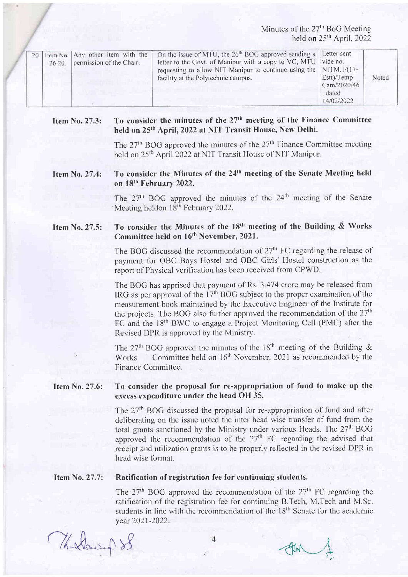| 26.20 | 20 Item No. Any other item with the<br>permission of the Chair. | On the issue of MTU, the $26th$ BOG approved sending a Letter sent<br>letter to the Govt. of Manipur with a copy to $VC$ , MTU $\vert$ vide no.<br>requesting to allow NIT Manipur to continue using the   NITM.1/(17-<br>facility at the Polytechnic campus. | Estt)/Temp<br>Cam/2020/46<br>dated.<br>14/02/2022 | Noted |
|-------|-----------------------------------------------------------------|---------------------------------------------------------------------------------------------------------------------------------------------------------------------------------------------------------------------------------------------------------------|---------------------------------------------------|-------|
|-------|-----------------------------------------------------------------|---------------------------------------------------------------------------------------------------------------------------------------------------------------------------------------------------------------------------------------------------------------|---------------------------------------------------|-------|

#### Item No.27.3: To consider the minutes of the  $27<sup>th</sup>$  meeting of the Finance Committee held on 25<sup>th</sup> April, 2022 at NIT Transit House, New Delhi.

The  $27<sup>th</sup>$  BOG approved the minutes of the  $27<sup>th</sup>$  Finance Committee meeting held on 25<sup>th</sup> April 2022 at NIT Transit House of NIT Manipur.

#### Item No. 27.4: To consider the Minutes of the 24th meeting of the Senate Meeting held on l8th February 2022.

The  $27<sup>th</sup>$  BOG approved the minutes of the  $24<sup>th</sup>$  meeting of the Senate 'Meeting heldon 18<sup>th</sup> February 2022.

#### Item No.27.5: To consider the Minutes of the lSth meeting of the Building & Works Committee held on 16<sup>th</sup> November, 2021.

The BOG discussed the recommendation of  $27<sup>th</sup>$  FC regarding the release of payment for OBC Boys Hostel and OBC Girls' Hostel construction as the report of Physical verification has been received from CPWD.

The BOG has apprised that payment of Rs. 3.474 crore may be released fiom IRG as per approval of the  $17<sup>th</sup>$  BOG subject to the proper examination of the measurement book maintained by the Executive Engineer of the Institute for the projects. The BOG also further approved the recommendation of the  $27<sup>th</sup>$ FC and the 18<sup>th</sup> BWC to engage a Project Monitoring Cell (PMC) after the Revised DPR is approved by the Ministry.

The 27<sup>th</sup> BOG approved the minutes of the 18<sup>th</sup> meeting of the Building & Works Committee held on  $16<sup>th</sup>$  November, 2021 as recommended by the Finance Committee.

#### Item No.27.6: To consider the proposal for re-appropriation of fund to make up the excess expenditure under the head OH 35.

The  $27<sup>th</sup>$  BOG discussed the proposal for re-appropriation of fund and after deliberating on the issue noted the inter head wise transfer of fund from the total grants sanctioned by the Ministry under various Heads. The  $27<sup>th</sup>$  BOG approved the recommendation of the  $27<sup>th</sup>$  FC regarding the advised that receipt and utilization grants is to be properly reflected in the revised DPR in head wise format.

#### Item No. 27.7: Ratification of registration fee for continuing students.

The  $27<sup>th</sup>$  BOG approved the recommendation of the  $27<sup>th</sup>$  FC regarding the ratification of the registration fee for continuing B.Tech, M.Tech and M.Sc. students in line with the recommendation of the 18<sup>th</sup> Senate for the academic year 2021-2022.

Thedought of the four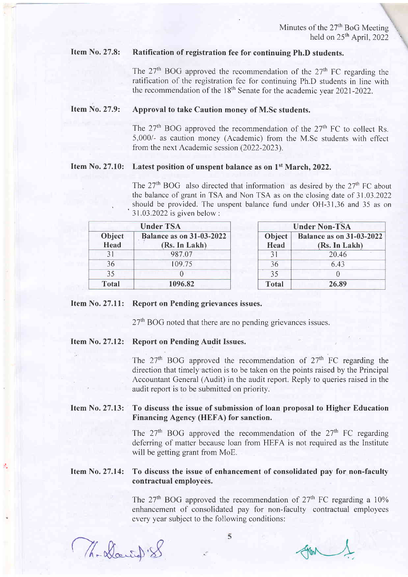### Item No. 27.8: Ratification of registration fee for continuing Ph.D students.

The  $27<sup>th</sup>$  BOG approved the recommendation of the  $27<sup>th</sup>$  FC regarding the ratification of the registration fee for continuing Ph.D students in line with the recommendation of the  $18<sup>th</sup>$  Senate for the academic year 2021-2022.

### Item No.27.9: Approval to take Caution money of M.Sc students.

The  $27<sup>th</sup>$  BOG approved the recommendation of the  $27<sup>th</sup>$  FC to collect Rs. 5,000/- as caution money (Academic) from the M.Sc students with effect from the next Academic session (2022-2023).

### Item No. 27.10: Latest position of unspent balance as on 1<sup>st</sup> March, 2022.

The  $27<sup>th</sup>$  BOG also directed that information as desired by the  $27<sup>th</sup>$  FC about the balance of grant in TSA and Non TSA as on the closing date of 31.03.2022 should be provided. The unspent balance fund under OH-31,36 and 35 as on 31.03.2022 is given below:

|                | <b>Under TSA</b>                                 | <b>Under Non-TSA</b> |                                                  |  |
|----------------|--------------------------------------------------|----------------------|--------------------------------------------------|--|
| Object<br>Head | <b>Balance as on 31-03-2022</b><br>(Rs. In Lakh) | Object<br>Head       | <b>Balance as on 31-03-2022</b><br>(Rs. In Lakh) |  |
| 31             | 987.07                                           | 3 <sup>1</sup>       | 20.46                                            |  |
| 36             | 109.75                                           | 36                   | 6.43                                             |  |
| 35             |                                                  | 35                   |                                                  |  |
| Total          | 1096.82                                          | Total                | 26.89                                            |  |

#### Item No. 27.11: Report on Pending grievances issues.

27<sup>th</sup> BOG noted that there are no pending grievances issues.

### Item No. 27.12: Report on Pending Audit Issues.

The  $27<sup>th</sup>$  BOG approved the recommendation of  $27<sup>th</sup>$  FC regarding the direction that timely action is to be taken on the points raised by the Principal Accountant General (Audit) in the audit report. Reply to queries raised in the audit report is to be submitted on priority.

#### Item No. 27.13: To discuss the issue of submission of loan proposal to Higher Education Financing Agency (HEFA) for sanction.

The  $27<sup>th</sup>$  BOG approved the recommendation of the  $27<sup>th</sup>$  FC regarding deferring of matter because loan from HEFA is not required as the Institute will be getting grant from MoE.

### Item No. 27.14: To discuss the issue of enhancement of consolidated pay for non-faculty contractual employees.

The  $27<sup>th</sup>$  BOG approved the recommendation of  $27<sup>th</sup>$  FC regarding a  $10\%$ enhancement of consolidated pay for non-fuculty contractual employees every year subject to the following conditions:

The David . 8

2

5

TIM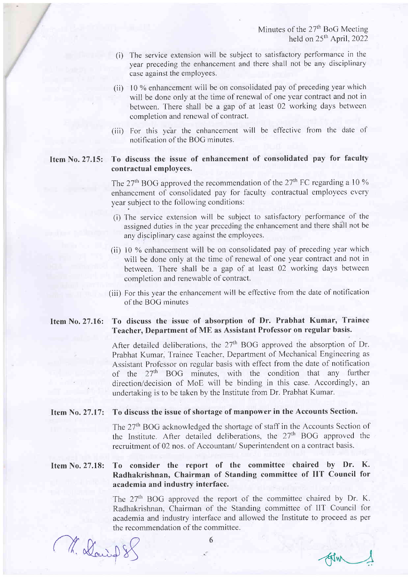- (i) The service extension will be subject to satisfactory performance in the year preceding the enhancement and there shall not be any disciplinary case against the ernployees.
- (ii)  $\frac{10\%}{10\%}$  enhancement will be on consolidated pay of preceding year which will be done only at the time of renewal of one year contract and not in between. There shall be a gap of at least 02 working days between completion and renewal of contract.
- (iii) For this year the enhancement will be effective from the date of notification of the BOG minutes.

# Item No. 27.15: To discuss the issue of enhancement of consolidated pay for faculty contractual employees.

The  $27<sup>th</sup>$  BOG approved the recommendation of the  $27<sup>th</sup>$  FC regarding a 10 % enhancement of consolidated pay for faculty contractual employees every year subject to the following conditions:

- (i) The service extension will be subject to satisfactory performance of the assigned duties in the year preceding the enhancement and there shall not be any disciplinary case against the employees.
- (ii) 10  $%$  enhancement will be on consolidated pay of preceding year which will be done only at the time of renewal of one year contract and not in between. There shall be a gap of at least 02 working days between completion and renewable of contract.
- (iii) For this year the enhancement will be effective from the date of notification of the BOG minutes

## Item No. 27.16: To discuss the issue of absorption of Dr. Prabhat Kumar, Trainee Teacher, Department of ME as Assistant Professor on regular basis.

After detailed deliberations, the  $27<sup>th</sup>$  BOG approved the absorption of Dr. Prabhat Kumar, Trainee Teacher, Department of Mechanical Engineering as Assistant Professor on regular basis with effect from the date of notification of the 27<sup>th</sup> BOG minutes, with the condition that any further direction/decision of MoE will be binding in this case. Accordingly, an undertaking is to be taken by the Institute from Dr. Prabhat Kumar.

## Item No. 27.17: To discuss the issue of shortage of manpower in the Accounts Section.

The 27<sup>th</sup> BOG acknowledged the shortage of staff in the Accounts Section of the Institute. After detailed deliberations, the 27<sup>th</sup> BOG approved the recruitment of 02 nos. of Accountant/ Superintendent on a contract basis.

### Item No. 27.18: To consider the report of the committee chaired by Dr. K. Radhakrishnan, Chairman of Standing committee of IIT Council for academia and industry interface.

The 27<sup>th</sup> BOG approved the report of the committee chaired by Dr. K. Radhakrishnan, Chairman of the Standing committee of llT' Council for academia and industry interface and allowed the Institute to proceed as per

the recommendation of the committee.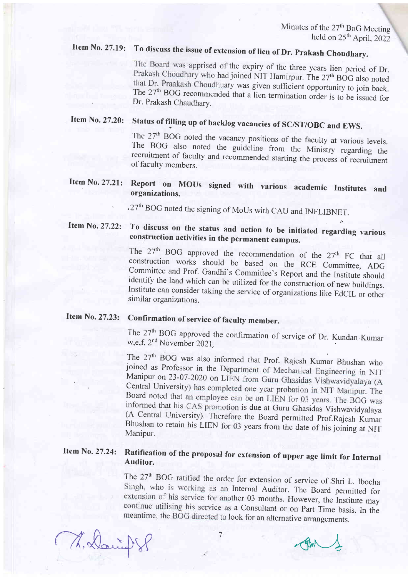Item No. 27.19: To discuss the issue of extension of lien of Dr. Prakash Choudhary.<br>The Board was apprised of the expiry of the three years lien period of Dr. Prakash Choudhary who had joined NIT Hamirpur. The 27<sup>th</sup> BOG also noted that Dr. Praakash Choudhuary was given sufficient opportunity to join back. The 27<sup>th</sup> BOG recommended that a lien termination order is to be issued for Dr. Prakash Chaudhary.

Item No. 27.20: Status of filling up of backlog vacancies of SC/ST/OBC and EWS.<br>The  $27<sup>th</sup>$  BOG noted the vacancy positions of the faculty at various levels. The BOG also noted the guideline from the Ministry regarding the recruitment of faculty and recommended starting the process of recruitment of faculty members.

# Item No. 27.21: Report on MOUs signed with various academic Institutes and organizations.

.27<sup>th</sup> BOG noted the signing of MoUs with CAU and INFLIBNET.

# Item No. 27.22: To discuss on the status and action to be initiated regarding various construction activities in the permanent campus.

The  $27<sup>th</sup>$ construction works should be based on the RCE Committee, ADG<br>Committee and Prof. Gandhi's Committee's Report and the Institute should<br>identify the land which can be utilized for the construction of new buildings.<br>Institute

# Item No. 27.23: Confirmation of service of faculty member.

The  $27<sup>th</sup>$  BOG approved the confirmation of servige of Dr. Kundan Kumar w,e,f,  $2<sup>nd</sup>$  November 2021.

The 27<sup>th</sup> BOG was also informed that Prof. Rajesh Kumar Bhushan who joined as Professor in the Department of Mechanical Engineering in NIT Manipur on 23-07-2020 on LIEN from Guru Ghasidas Vishwavidyalaya (A Central University) has completed one year probation in NIT Manipur. The Board noted that an employee can be on LIEN for 03 years. The BOG was informed that his CAS promotion is due at Guru Ghasidas Vishwavidyalaya (A Central University). Therefore the Board permitted Prof.Rajesh Kumar Bhushan to retain his LIEN for 03 years from the date of his joining at NIT Manipur.

# Item No. 27.24: Ratification of the proposal for extension of upper age limit for Internal Auditor.

The 27<sup>th</sup> BOG ratified the order for extension of service of Shri L. Ibocha Singh, who is working as an Internal Auditor. The Board permitted for extension of his service for another 03 months. However, the Institute may continue utilising his service as a Consultant or on Part Time basis. In the meantime, the BOG directed to look for an alternative arrangements.

M. David S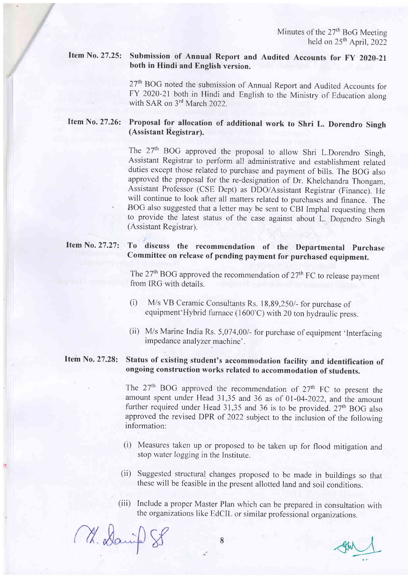### Item No. 27.25: Submission of Annual Report and Audited Accounts for FY 2020-21 both in Hindi and English version.

27<sup>th</sup> BOG noted the submission of Annual Report and Audited Accounts for FY 2020-21 both in Hindi and English to the Ministry of Education along with SAR on 3<sup>rd</sup> March 2022.

## Item No. 27.26: Proposal for allocation of additional work to Shri L. Dorendro Singh (Assistant Registrar).

The 27<sup>th</sup> BOG approved the proposal to allow Shri L.Dorendro Singh, Assistant Registrar to perform all administrative and establishment relaied duties except those related to purchase and payment of bills. The BoG also approved the proposal for the re-designation of Dr. Khelchandra Thongam, Assistant Professor (CSE Dept) as DDo/Assistant Registrar (Finance). He will continue to look after all matters related to purchases and finance. The BoG also suggested that a letter may be sent to cBI Imphal requesting them to provide the latest status of the case against about L. Dorendro Singh (Assistant Registrar).

#### Item No. 27.27: To discuss the recommendation of the Departmental purchase committee on release of pending payment for purchased equipment.

The  $27<sup>th</sup>$  BOG approved the recommendation of  $27<sup>th</sup>$  FC to release payment from IRG with details.

- (i) M/s VB Ceramic Consultants Rs.  $18,89,250/$  for purchase of equipment'Hybrid furnace (1600'c) with 20 ton hydraulic press.
- (ii) M/s Marine India Rs. 5,074,00/- for purchase of equipment 'Interfacing impedance analyzer machine'.

#### Item No. 27.28: Status of existing student's accommodation facility and identification of ongoing construction works related to accommodation of students.

The  $27<sup>th</sup>$  BOG approved the recommendation of  $27<sup>th</sup>$  FC to present the amount spent under Head 31,35 and 36 as of 0l-04-2022, and the amount further required under Head  $31,35$  and  $36$  is to be provided.  $27<sup>th</sup>$  BOG also approved the revised DPR of 2022 subject to the inclusion of the followins information:

- (i) Measures taken up or proposed to be taken up for flood mitigation and stop water logging in the Institute.
- (ii) Suggested structural changes proposed to be made in buildings so that these will be feasible in the present allotted land and soil conditions.
- (iii) Include a proper Master Plan which can be prepared in consultation with the organizations like EdclL or similar professional organizations.

M. Danis

я